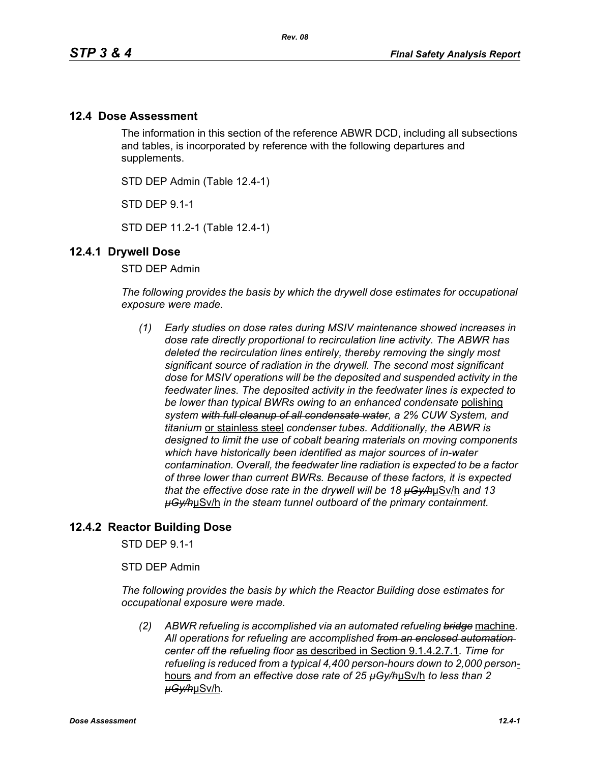# **12.4 Dose Assessment**

The information in this section of the reference ABWR DCD, including all subsections and tables, is incorporated by reference with the following departures and supplements.

STD DEP Admin (Table 12.4-1)

STD DEP 9.1-1

STD DEP 11.2-1 (Table 12.4-1)

# **12.4.1 Drywell Dose**

STD DEP Admin

*The following provides the basis by which the drywell dose estimates for occupational exposure were made.*

*(1) Early studies on dose rates during MSIV maintenance showed increases in dose rate directly proportional to recirculation line activity. The ABWR has deleted the recirculation lines entirely, thereby removing the singly most significant source of radiation in the drywell. The second most significant dose for MSIV operations will be the deposited and suspended activity in the feedwater lines. The deposited activity in the feedwater lines is expected to be lower than typical BWRs owing to an enhanced condensate* polishing *system with full cleanup of all condensate water, a 2% CUW System, and titanium* or stainless steel *condenser tubes. Additionally, the ABWR is designed to limit the use of cobalt bearing materials on moving components which have historically been identified as major sources of in-water contamination. Overall, the feedwater line radiation is expected to be a factor of three lower than current BWRs. Because of these factors, it is expected that the effective dose rate in the drywell will be 18 µGy/h*µSv/h *and 13 µGy/h*µSv/h *in the steam tunnel outboard of the primary containment.* 

# **12.4.2 Reactor Building Dose**

STD DEP 9.1-1

STD DEP Admin

*The following provides the basis by which the Reactor Building dose estimates for occupational exposure were made.*

*(2) ABWR refueling is accomplished via an automated refueling bridge* machine*. All operations for refueling are accomplished from an enclosed automation center off the refueling floor* as described in Section 9.1.4.2.7.1*. Time for refueling is reduced from a typical 4,400 person-hours down to 2,000 person*hours *and from an effective dose rate of 25 µGy/h*µSv/h *to less than 2 µGy/h*µSv/h*.*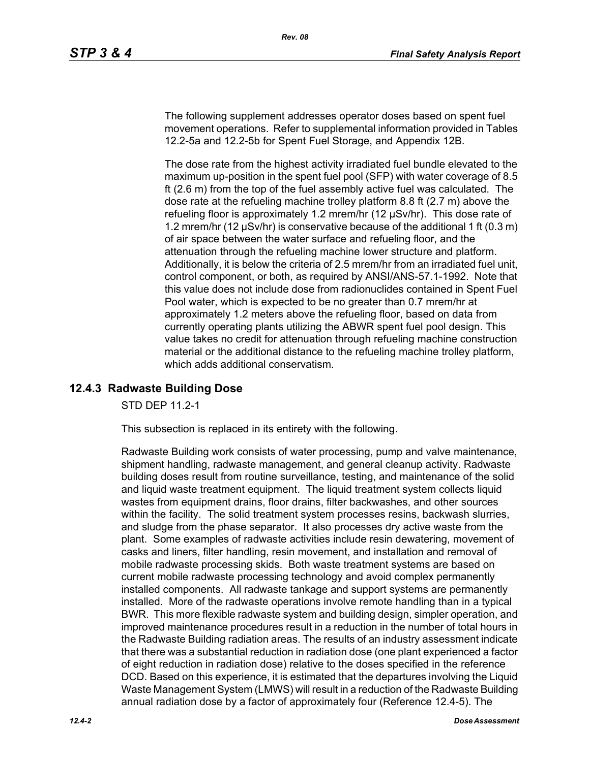The following supplement addresses operator doses based on spent fuel movement operations. Refer to supplemental information provided in Tables 12.2-5a and 12.2-5b for Spent Fuel Storage, and Appendix 12B.

The dose rate from the highest activity irradiated fuel bundle elevated to the maximum up-position in the spent fuel pool (SFP) with water coverage of 8.5 ft (2.6 m) from the top of the fuel assembly active fuel was calculated. The dose rate at the refueling machine trolley platform 8.8 ft (2.7 m) above the refueling floor is approximately 1.2 mrem/hr (12 µSv/hr). This dose rate of 1.2 mrem/hr (12 µSv/hr) is conservative because of the additional 1 ft (0.3 m) of air space between the water surface and refueling floor, and the attenuation through the refueling machine lower structure and platform. Additionally, it is below the criteria of 2.5 mrem/hr from an irradiated fuel unit, control component, or both, as required by ANSI/ANS-57.1-1992. Note that this value does not include dose from radionuclides contained in Spent Fuel Pool water, which is expected to be no greater than 0.7 mrem/hr at approximately 1.2 meters above the refueling floor, based on data from currently operating plants utilizing the ABWR spent fuel pool design. This value takes no credit for attenuation through refueling machine construction material or the additional distance to the refueling machine trolley platform, which adds additional conservatism.

# **12.4.3 Radwaste Building Dose**

STD DEP 11.2-1

This subsection is replaced in its entirety with the following.

Radwaste Building work consists of water processing, pump and valve maintenance, shipment handling, radwaste management, and general cleanup activity. Radwaste building doses result from routine surveillance, testing, and maintenance of the solid and liquid waste treatment equipment. The liquid treatment system collects liquid wastes from equipment drains, floor drains, filter backwashes, and other sources within the facility. The solid treatment system processes resins, backwash slurries, and sludge from the phase separator. It also processes dry active waste from the plant. Some examples of radwaste activities include resin dewatering, movement of casks and liners, filter handling, resin movement, and installation and removal of mobile radwaste processing skids. Both waste treatment systems are based on current mobile radwaste processing technology and avoid complex permanently installed components. All radwaste tankage and support systems are permanently installed. More of the radwaste operations involve remote handling than in a typical BWR. This more flexible radwaste system and building design, simpler operation, and improved maintenance procedures result in a reduction in the number of total hours in the Radwaste Building radiation areas. The results of an industry assessment indicate that there was a substantial reduction in radiation dose (one plant experienced a factor of eight reduction in radiation dose) relative to the doses specified in the reference DCD. Based on this experience, it is estimated that the departures involving the Liquid Waste Management System (LMWS) will result in a reduction of the Radwaste Building annual radiation dose by a factor of approximately four (Reference 12.4-5). The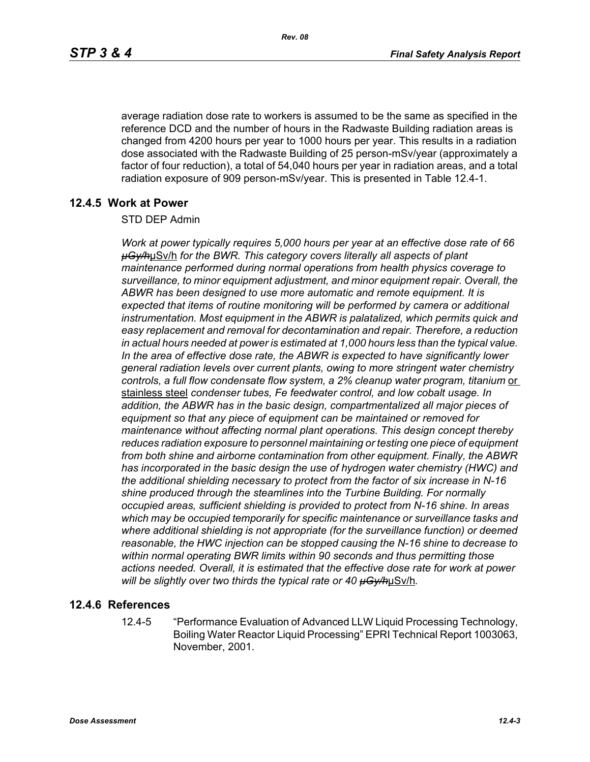average radiation dose rate to workers is assumed to be the same as specified in the reference DCD and the number of hours in the Radwaste Building radiation areas is changed from 4200 hours per year to 1000 hours per year. This results in a radiation dose associated with the Radwaste Building of 25 person-mSv/year (approximately a factor of four reduction), a total of 54,040 hours per year in radiation areas, and a total radiation exposure of 909 person-mSv/year. This is presented in Table 12.4-1.

### **12.4.5 Work at Power**

#### STD DEP Admin

*Work at power typically requires 5,000 hours per year at an effective dose rate of 66 µGy/h*µSv/h *for the BWR. This category covers literally all aspects of plant maintenance performed during normal operations from health physics coverage to surveillance, to minor equipment adjustment, and minor equipment repair. Overall, the ABWR has been designed to use more automatic and remote equipment. It is expected that items of routine monitoring will be performed by camera or additional*  instrumentation. Most equipment in the ABWR is palatalized, which permits quick and *easy replacement and removal for decontamination and repair. Therefore, a reduction in actual hours needed at power is estimated at 1,000 hours less than the typical value. In the area of effective dose rate, the ABWR is expected to have significantly lower general radiation levels over current plants, owing to more stringent water chemistry*  controls, a full flow condensate flow system, a 2% cleanup water program, titanium or stainless steel *condenser tubes, Fe feedwater control, and low cobalt usage. In addition, the ABWR has in the basic design, compartmentalized all major pieces of equipment so that any piece of equipment can be maintained or removed for maintenance without affecting normal plant operations. This design concept thereby reduces radiation exposure to personnel maintaining or testing one piece of equipment from both shine and airborne contamination from other equipment. Finally, the ABWR has incorporated in the basic design the use of hydrogen water chemistry (HWC) and the additional shielding necessary to protect from the factor of six increase in N-16 shine produced through the steamlines into the Turbine Building. For normally occupied areas, sufficient shielding is provided to protect from N-16 shine. In areas which may be occupied temporarily for specific maintenance or surveillance tasks and where additional shielding is not appropriate (for the surveillance function) or deemed reasonable, the HWC injection can be stopped causing the N-16 shine to decrease to within normal operating BWR limits within 90 seconds and thus permitting those actions needed. Overall, it is estimated that the effective dose rate for work at power will be slightly over two thirds the typical rate or 40 µGy/h*µSv/h*.*

#### **12.4.6 References**

12.4-5 "Performance Evaluation of Advanced LLW Liquid Processing Technology, Boiling Water Reactor Liquid Processing" EPRI Technical Report 1003063, November, 2001.